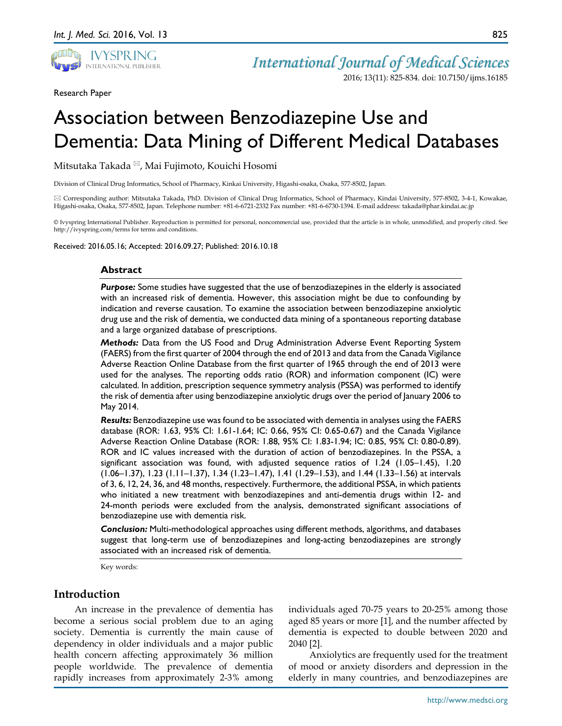

2016; 13(11): 825-834. doi: 10.7150/ijms.16185

#### Research Paper

# Association between Benzodiazepine Use and Dementia: Data Mining of Different Medical Databases

Mitsutaka Takada <sup>⊠</sup>, Mai Fujimoto, Kouichi Hosomi

Division of Clinical Drug Informatics, School of Pharmacy, Kinkai University, Higashi-osaka, Osaka, 577-8502, Japan.

 Corresponding author: Mitsutaka Takada, PhD. Division of Clinical Drug Informatics, School of Pharmacy, Kindai University, 577-8502, 3-4-1, Kowakae, Higashi-osaka, Osaka, 577-8502, Japan. Telephone number: +81-6-6721-2332 Fax number: +81-6-6730-1394. E-mail address: takada@phar.kindai.ac.jp

© Ivyspring International Publisher. Reproduction is permitted for personal, noncommercial use, provided that the article is in whole, unmodified, and properly cited. See http://ivyspring.com/terms for terms and conditions.

Received: 2016.05.16; Accepted: 2016.09.27; Published: 2016.10.18

#### **Abstract**

*Purpose:* Some studies have suggested that the use of benzodiazepines in the elderly is associated with an increased risk of dementia. However, this association might be due to confounding by indication and reverse causation. To examine the association between benzodiazepine anxiolytic drug use and the risk of dementia, we conducted data mining of a spontaneous reporting database and a large organized database of prescriptions.

*Methods:* Data from the US Food and Drug Administration Adverse Event Reporting System (FAERS) from the first quarter of 2004 through the end of 2013 and data from the Canada Vigilance Adverse Reaction Online Database from the first quarter of 1965 through the end of 2013 were used for the analyses. The reporting odds ratio (ROR) and information component (IC) were calculated. In addition, prescription sequence symmetry analysis (PSSA) was performed to identify the risk of dementia after using benzodiazepine anxiolytic drugs over the period of January 2006 to May 2014.

*Results:* Benzodiazepine use was found to be associated with dementia in analyses using the FAERS database (ROR: 1.63, 95% CI: 1.61-1.64; IC: 0.66, 95% CI: 0.65-0.67) and the Canada Vigilance Adverse Reaction Online Database (ROR: 1.88, 95% CI: 1.83-1.94; IC: 0.85, 95% CI: 0.80-0.89). ROR and IC values increased with the duration of action of benzodiazepines. In the PSSA, a significant association was found, with adjusted sequence ratios of 1.24 (1.05–1.45), 1.20 (1.06–1.37), 1.23 (1.11–1.37), 1.34 (1.23–1.47), 1.41 (1.29–1.53), and 1.44 (1.33–1.56) at intervals of 3, 6, 12, 24, 36, and 48 months, respectively. Furthermore, the additional PSSA, in which patients who initiated a new treatment with benzodiazepines and anti-dementia drugs within 12- and 24-month periods were excluded from the analysis, demonstrated significant associations of benzodiazepine use with dementia risk.

*Conclusion:* Multi-methodological approaches using different methods, algorithms, and databases suggest that long-term use of benzodiazepines and long-acting benzodiazepines are strongly associated with an increased risk of dementia.

Key words:

## **Introduction**

An increase in the prevalence of dementia has become a serious social problem due to an aging society. Dementia is currently the main cause of dependency in older individuals and a major public health concern affecting approximately 36 million people worldwide. The prevalence of dementia rapidly increases from approximately 2-3% among

individuals aged 70-75 years to 20-25% among those aged 85 years or more [1], and the number affected by dementia is expected to double between 2020 and 2040 [2].

Anxiolytics are frequently used for the treatment of mood or anxiety disorders and depression in the elderly in many countries, and benzodiazepines are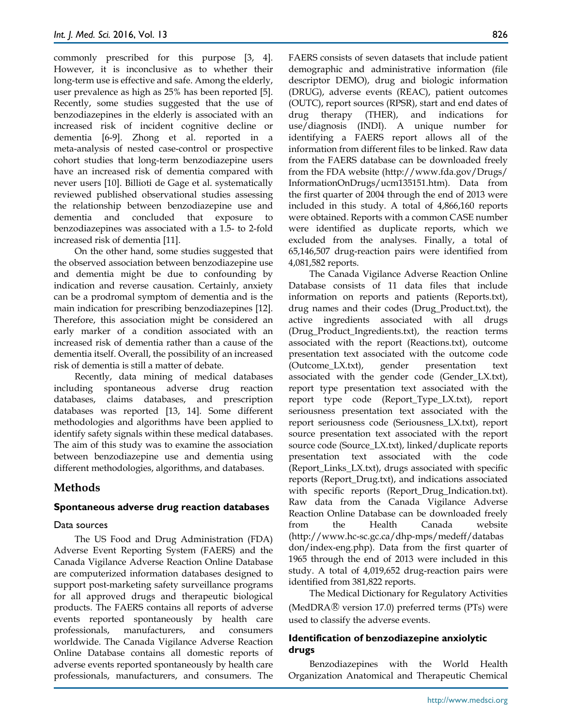commonly prescribed for this purpose [3, 4]. However, it is inconclusive as to whether their long-term use is effective and safe. Among the elderly, user prevalence as high as 25% has been reported [5]. Recently, some studies suggested that the use of benzodiazepines in the elderly is associated with an increased risk of incident cognitive decline or dementia [6-9]. Zhong et al. reported in a meta-analysis of nested case-control or prospective cohort studies that long-term benzodiazepine users have an increased risk of dementia compared with never users [10]. Billioti de Gage et al. systematically reviewed published observational studies assessing the relationship between benzodiazepine use and dementia and concluded that exposure to benzodiazepines was associated with a 1.5- to 2-fold increased risk of dementia [11].

On the other hand, some studies suggested that the observed association between benzodiazepine use and dementia might be due to confounding by indication and reverse causation. Certainly, anxiety can be a prodromal symptom of dementia and is the main indication for prescribing benzodiazepines [12]. Therefore, this association might be considered an early marker of a condition associated with an increased risk of dementia rather than a cause of the dementia itself. Overall, the possibility of an increased risk of dementia is still a matter of debate.

Recently, data mining of medical databases including spontaneous adverse drug reaction databases, claims databases, and prescription databases was reported [13, 14]. Some different methodologies and algorithms have been applied to identify safety signals within these medical databases. The aim of this study was to examine the association between benzodiazepine use and dementia using different methodologies, algorithms, and databases.

# **Methods**

## **Spontaneous adverse drug reaction databases**

## Data sources

The US Food and Drug Administration (FDA) Adverse Event Reporting System (FAERS) and the Canada Vigilance Adverse Reaction Online Database are computerized information databases designed to support post-marketing safety surveillance programs for all approved drugs and therapeutic biological products. The FAERS contains all reports of adverse events reported spontaneously by health care professionals, manufacturers, and consumers worldwide. The Canada Vigilance Adverse Reaction Online Database contains all domestic reports of adverse events reported spontaneously by health care professionals, manufacturers, and consumers. The

FAERS consists of seven datasets that include patient demographic and administrative information (file descriptor DEMO), drug and biologic information (DRUG), adverse events (REAC), patient outcomes (OUTC), report sources (RPSR), start and end dates of drug therapy (THER), and indications for use/diagnosis (INDI). A unique number for identifying a FAERS report allows all of the information from different files to be linked. Raw data from the FAERS database can be downloaded freely from the FDA website (http://www.fda.gov/Drugs/ InformationOnDrugs/ucm135151.htm). Data from the first quarter of 2004 through the end of 2013 were included in this study. A total of 4,866,160 reports were obtained. Reports with a common CASE number were identified as duplicate reports, which we excluded from the analyses. Finally, a total of 65,146,507 drug-reaction pairs were identified from 4,081,582 reports.

The Canada Vigilance Adverse Reaction Online Database consists of 11 data files that include information on reports and patients (Reports.txt), drug names and their codes (Drug\_Product.txt), the active ingredients associated with all drugs (Drug\_Product\_Ingredients.txt), the reaction terms associated with the report (Reactions.txt), outcome presentation text associated with the outcome code (Outcome\_LX.txt), gender presentation text associated with the gender code (Gender\_LX.txt), report type presentation text associated with the report type code (Report\_Type\_LX.txt), report seriousness presentation text associated with the report seriousness code (Seriousness\_LX.txt), report source presentation text associated with the report source code (Source\_LX.txt), linked/duplicate reports presentation text associated with the code (Report\_Links\_LX.txt), drugs associated with specific reports (Report\_Drug.txt), and indications associated with specific reports (Report\_Drug\_Indication.txt). Raw data from the Canada Vigilance Adverse Reaction Online Database can be downloaded freely from the Health Canada website (http://www.hc-sc.gc.ca/dhp-mps/medeff/databas don/index-eng.php). Data from the first quarter of 1965 through the end of 2013 were included in this study. A total of 4,019,652 drug-reaction pairs were identified from 381,822 reports.

The Medical Dictionary for Regulatory Activities (MedDRA<sup>®</sup> version 17.0) preferred terms (PTs) were used to classify the adverse events.

# **Identification of benzodiazepine anxiolytic drugs**

Benzodiazepines with the World Health Organization Anatomical and Therapeutic Chemical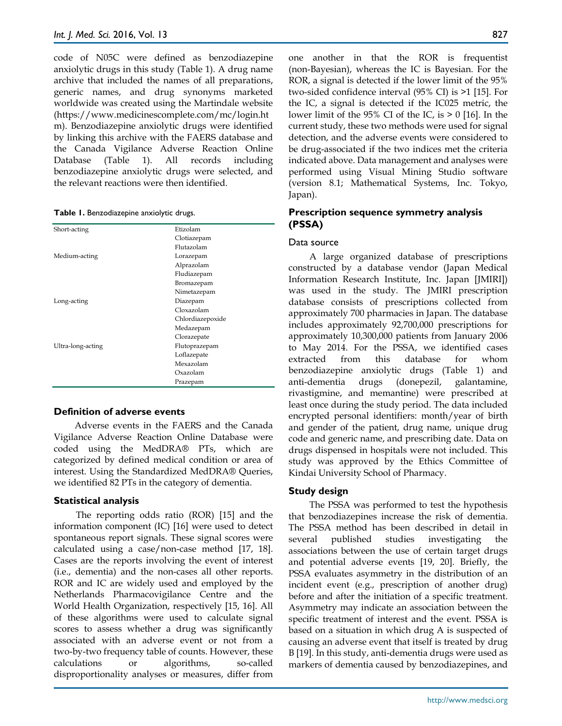code of N05C were defined as benzodiazepine anxiolytic drugs in this study (Table 1). A drug name archive that included the names of all preparations, generic names, and drug synonyms marketed worldwide was created using the Martindale website (https://www.medicinescomplete.com/mc/login.ht m). Benzodiazepine anxiolytic drugs were identified by linking this archive with the FAERS database and the Canada Vigilance Adverse Reaction Online Database (Table 1). All records including benzodiazepine anxiolytic drugs were selected, and the relevant reactions were then identified.

**Table 1.** Benzodiazepine anxiolytic drugs.

| Short-acting      | Etizolam         |
|-------------------|------------------|
|                   | Clotiazepam      |
|                   | Flutazolam       |
| Medium-acting     | Lorazepam        |
|                   | Alprazolam       |
|                   | Fludiazepam      |
|                   | Bromazepam       |
|                   | Nimetazepam      |
| Long-acting       | Diazepam         |
|                   | Cloxazolam       |
|                   | Chlordiazepoxide |
|                   | Medazepam        |
|                   | Clorazepate      |
| Ultra-long-acting | Flutoprazepam    |
|                   | Loflazepate      |
|                   | Mexazolam        |
|                   | Oxazolam         |
|                   | Prazepam         |

## **Definition of adverse events**

Adverse events in the FAERS and the Canada Vigilance Adverse Reaction Online Database were coded using the MedDRA® PTs, which are categorized by defined medical condition or area of interest. Using the Standardized MedDRA® Queries, we identified 82 PTs in the category of dementia.

## **Statistical analysis**

The reporting odds ratio (ROR) [15] and the information component (IC) [16] were used to detect spontaneous report signals. These signal scores were calculated using a case/non-case method [17, 18]. Cases are the reports involving the event of interest (i.e., dementia) and the non-cases all other reports. ROR and IC are widely used and employed by the Netherlands Pharmacovigilance Centre and the World Health Organization, respectively [15, 16]. All of these algorithms were used to calculate signal scores to assess whether a drug was significantly associated with an adverse event or not from a two-by-two frequency table of counts. However, these calculations or algorithms, so-called disproportionality analyses or measures, differ from

one another in that the ROR is frequentist (non-Bayesian), whereas the IC is Bayesian. For the ROR, a signal is detected if the lower limit of the 95% two-sided confidence interval (95% CI) is >1 [15]. For the IC, a signal is detected if the IC025 metric, the lower limit of the 95% CI of the IC, is  $> 0$  [16]. In the current study, these two methods were used for signal detection, and the adverse events were considered to be drug-associated if the two indices met the criteria indicated above. Data management and analyses were performed using Visual Mining Studio software (version 8.1; Mathematical Systems, Inc. Tokyo, Japan).

## **Prescription sequence symmetry analysis (PSSA)**

## Data source

A large organized database of prescriptions constructed by a database vendor (Japan Medical Information Research Institute, Inc. Japan [JMIRI]) was used in the study. The JMIRI prescription database consists of prescriptions collected from approximately 700 pharmacies in Japan. The database includes approximately 92,700,000 prescriptions for approximately 10,300,000 patients from January 2006 to May 2014. For the PSSA, we identified cases extracted from this database for whom benzodiazepine anxiolytic drugs (Table 1) and anti-dementia drugs (donepezil, galantamine, rivastigmine, and memantine) were prescribed at least once during the study period. The data included encrypted personal identifiers: month/year of birth and gender of the patient, drug name, unique drug code and generic name, and prescribing date. Data on drugs dispensed in hospitals were not included. This study was approved by the Ethics Committee of Kindai University School of Pharmacy.

## **Study design**

The PSSA was performed to test the hypothesis that benzodiazepines increase the risk of dementia. The PSSA method has been described in detail in several published studies investigating the associations between the use of certain target drugs and potential adverse events [19, 20]. Briefly, the PSSA evaluates asymmetry in the distribution of an incident event (e.g., prescription of another drug) before and after the initiation of a specific treatment. Asymmetry may indicate an association between the specific treatment of interest and the event. PSSA is based on a situation in which drug A is suspected of causing an adverse event that itself is treated by drug B [19]. In this study, anti-dementia drugs were used as markers of dementia caused by benzodiazepines, and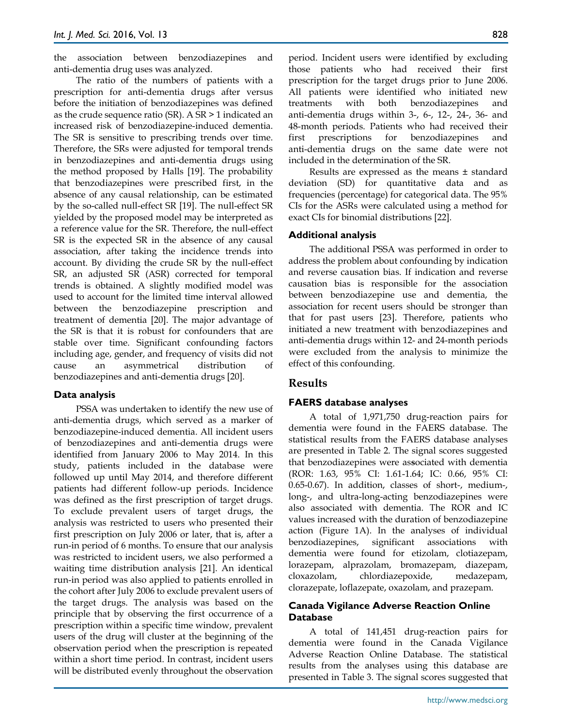the association between benzodiazepines and anti-dementia drug uses was analyzed.

The ratio of the numbers of patients with a prescription for anti-dementia drugs after versus before the initiation of benzodiazepines was defined as the crude sequence ratio (SR). A SR > 1 indicated an increased risk of benzodiazepine-induced dementia. The SR is sensitive to prescribing trends over time. Therefore, the SRs were adjusted for temporal trends in benzodiazepines and anti-dementia drugs using the method proposed by Halls [19]. The probability that benzodiazepines were prescribed first, in the absence of any causal relationship, can be estimated by the so-called null-effect SR [19]. The null-effect SR yielded by the proposed model may be interpreted as a reference value for the SR. Therefore, the null-effect SR is the expected SR in the absence of any causal association, after taking the incidence trends into account. By dividing the crude SR by the null-effect SR, an adjusted SR (ASR) corrected for temporal trends is obtained. A slightly modified model was used to account for the limited time interval allowed between the benzodiazepine prescription and treatment of dementia [20]. The major advantage of the SR is that it is robust for confounders that are stable over time. Significant confounding factors including age, gender, and frequency of visits did not cause an asymmetrical distribution of benzodiazepines and anti-dementia drugs [20].

## **Data analysis**

PSSA was undertaken to identify the new use of anti-dementia drugs, which served as a marker of benzodiazepine-induced dementia. All incident users of benzodiazepines and anti-dementia drugs were identified from January 2006 to May 2014. In this study, patients included in the database were followed up until May 2014, and therefore different patients had different follow-up periods. Incidence was defined as the first prescription of target drugs. To exclude prevalent users of target drugs, the analysis was restricted to users who presented their first prescription on July 2006 or later, that is, after a run-in period of 6 months. To ensure that our analysis was restricted to incident users, we also performed a waiting time distribution analysis [21]. An identical run-in period was also applied to patients enrolled in the cohort after July 2006 to exclude prevalent users of the target drugs. The analysis was based on the principle that by observing the first occurrence of a prescription within a specific time window, prevalent users of the drug will cluster at the beginning of the observation period when the prescription is repeated within a short time period. In contrast, incident users will be distributed evenly throughout the observation

period. Incident users were identified by excluding those patients who had received their first prescription for the target drugs prior to June 2006. All patients were identified who initiated new treatments with both benzodiazepines and anti-dementia drugs within 3-, 6-, 12-, 24-, 36- and 48-month periods. Patients who had received their first prescriptions for benzodiazepines and anti-dementia drugs on the same date were not included in the determination of the SR.

Results are expressed as the means ± standard deviation (SD) for quantitative data and as frequencies (percentage) for categorical data. The 95% CIs for the ASRs were calculated using a method for exact CIs for binomial distributions [22].

## **Additional analysis**

The additional PSSA was performed in order to address the problem about confounding by indication and reverse causation bias. If indication and reverse causation bias is responsible for the association between benzodiazepine use and dementia, the association for recent users should be stronger than that for past users [23]. Therefore, patients who initiated a new treatment with benzodiazepines and anti-dementia drugs within 12- and 24-month periods were excluded from the analysis to minimize the effect of this confounding.

## **Results**

## **FAERS database analyses**

A total of 1,971,750 drug-reaction pairs for dementia were found in the FAERS database. The statistical results from the FAERS database analyses are presented in Table 2. The signal scores suggested that benzodiazepines were as**s**ociated with dementia (ROR: 1.63, 95% CI: 1.61-1.64; IC: 0.66, 95% CI: 0.65-0.67). In addition, classes of short-, medium-, long-, and ultra-long-acting benzodiazepines were also associated with dementia. The ROR and IC values increased with the duration of benzodiazepine action (Figure 1A). In the analyses of individual benzodiazepines, significant associations with dementia were found for etizolam, clotiazepam, lorazepam, alprazolam, bromazepam, diazepam, cloxazolam, chlordiazepoxide, medazepam, clorazepate, loflazepate, oxazolam, and prazepam.

## **Canada Vigilance Adverse Reaction Online Database**

A total of 141,451 drug-reaction pairs for dementia were found in the Canada Vigilance Adverse Reaction Online Database. The statistical results from the analyses using this database are presented in Table 3. The signal scores suggested that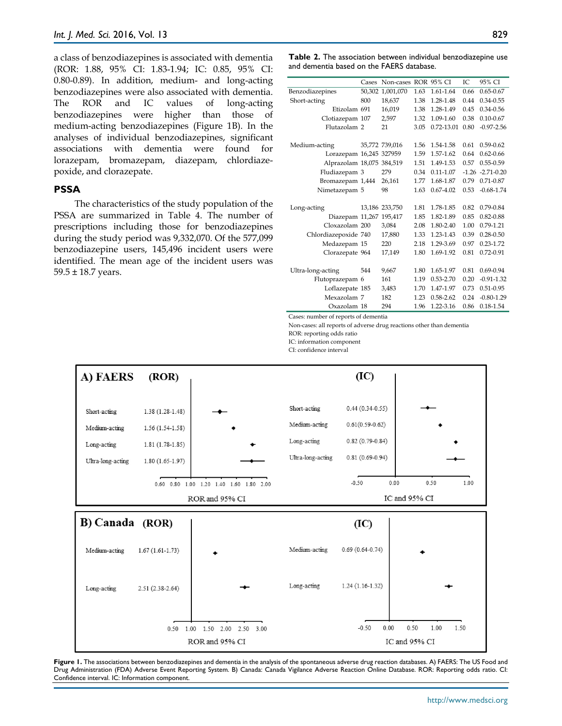a class of benzodiazepines is associated with dementia (ROR: 1.88, 95% CI: 1.83-1.94; IC: 0.85, 95% CI: 0.80-0.89). In addition, medium- and long-acting benzodiazepines were also associated with dementia. The ROR and IC values of long-acting benzodiazepines were higher than those of medium-acting benzodiazepines (Figure 1B). In the analyses of individual benzodiazepines, significant associations with dementia were found for lorazepam, bromazepam, diazepam, chlordiazepoxide, and clorazepate.

#### **PSSA**

The characteristics of the study population of the PSSA are summarized in Table 4. The number of prescriptions including those for benzodiazepines during the study period was 9,332,070. Of the 577,099 benzodiazepine users, 145,496 incident users were identified. The mean age of the incident users was 59.5 ± 18.7 years.

**Table 2.** The association between individual benzodiazepine use and dementia based on the FAERS database.

|                         |        | Cases Non-cases ROR 95% CI |      |               | IC   | 95% CI              |
|-------------------------|--------|----------------------------|------|---------------|------|---------------------|
| Benzodiazepines         | 50,302 | 1,001,070                  | 1.63 | 1.61-1.64     | 0.66 | $0.65 - 0.67$       |
| Short-acting            | 800    | 18.637                     | 1.38 | 1.28-1.48     | 0.44 | $0.34 - 0.55$       |
| Etizolam 691            |        | 16,019                     | 1.38 | 1.28-1.49     | 0.45 | 0.34-0.56           |
| Clotiazepam 107         |        | 2,597                      | 1.32 | 1.09-1.60     | 0.38 | $0.10 - 0.67$       |
| Flutazolam 2            |        | 21                         | 3.05 | 0.72-13.01    | 0.80 | $-0.97 - 2.56$      |
|                         |        |                            |      |               |      |                     |
| Medium-acting           |        | 35,772 739,016             | 1.56 | 1.54-1.58     | 0.61 | $0.59 - 0.62$       |
| Lorazepam 16,245 327959 |        |                            | 1.59 | 1.57-1.62     | 0.64 | $0.62 - 0.66$       |
| Alprazolam 18,075       |        | 384,519                    | 1.51 | 1.49-1.53     | 0.57 | $0.55 - 0.59$       |
| Fludiazepam 3           |        | 279                        | 0.34 | $0.11 - 1.07$ |      | $-1.26 -2.71 -0.20$ |
| Bromazepam 1,444        |        | 26,161                     | 1.77 | 1.68-1.87     | 0.79 | 0.71-0.87           |
| Nimetazepam 5           |        | 98                         | 1.63 | $0.67 - 4.02$ | 0.53 | $-0.68 - 1.74$      |
|                         |        |                            |      |               |      |                     |
| Long-acting             | 13,186 | 233,750                    | 1.81 | 1.78-1.85     | 0.82 | 0.79-0.84           |
| Diazepam 11,267         |        | 195,417                    | 1.85 | 1.82-1.89     | 0.85 | $0.82 - 0.88$       |
| Cloxazolam 200          |        | 3,084                      | 2.08 | 1.80-2.40     | 1.00 | 0.79-1.21           |
| Chlordiazepoxide 740    |        | 17,880                     | 1.33 | 1.23-1.43     | 0.39 | $0.28 - 0.50$       |
| Medazepam 15            |        | 220                        | 2.18 | 1.29-3.69     | 0.97 | $0.23 - 1.72$       |
| Clorazepate 964         |        | 17,149                     | 1.80 | 1.69-1.92     | 0.81 | $0.72 - 0.91$       |
|                         |        |                            |      |               |      |                     |
| Ultra-long-acting       | 544    | 9,667                      | 1.80 | 1.65-1.97     | 0.81 | $0.69 - 0.94$       |
| Flutoprazepam 6         |        | 161                        | 1.19 | $0.53 - 2.70$ | 0.20 | $-0.91 - 1.32$      |
| Loflazepate 185         |        | 3,483                      | 1.70 | 1.47-1.97     | 0.73 | $0.51 - 0.95$       |
| Mexazolam 7             |        | 182                        | 1.23 | $0.58 - 2.62$ | 0.24 | $-0.80 - 1.29$      |
| Oxazolam 18             |        | 294                        | 1.96 | 1.22-3.16     | 0.86 | $0.18 - 1.54$       |

Cases: number of reports of dementia

Non-cases: all reports of adverse drug reactions other than dementia

ROR: reporting odds ratio

IC: information component

CI: confidence interval



**Figure 1.** The associations between benzodiazepines and dementia in the analysis of the spontaneous adverse drug reaction databases. A) FAERS: The US Food and Drug Administration (FDA) Adverse Event Reporting System. B) Canada: Canada Vigilance Adverse Reaction Online Database. ROR: Reporting odds ratio. CI: Confidence interval. IC: Information component.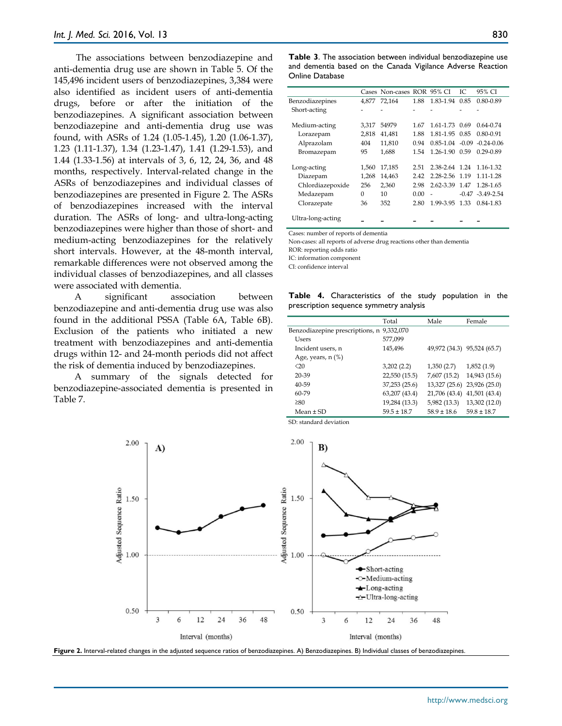The associations between benzodiazepine and anti-dementia drug use are shown in Table 5. Of the 145,496 incident users of benzodiazepines, 3,384 were also identified as incident users of anti-dementia drugs, before or after the initiation of the benzodiazepines. A significant association between benzodiazepine and anti-dementia drug use was found, with ASRs of 1.24 (1.05-1.45), 1.20 (1.06-1.37), 1.23 (1.11-1.37), 1.34 (1.23-1.47), 1.41 (1.29-1.53), and 1.44 (1.33-1.56) at intervals of 3, 6, 12, 24, 36, and 48 months, respectively. Interval-related change in the ASRs of benzodiazepines and individual classes of benzodiazepines are presented in Figure 2. The ASRs of benzodiazepines increased with the interval duration. The ASRs of long- and ultra-long-acting benzodiazepines were higher than those of short- and medium-acting benzodiazepines for the relatively short intervals. However, at the 48-month interval, remarkable differences were not observed among the individual classes of benzodiazepines, and all classes were associated with dementia.

A significant association between benzodiazepine and anti-dementia drug use was also found in the additional PSSA (Table 6A, Table 6B). Exclusion of the patients who initiated a new treatment with benzodiazepines and anti-dementia drugs within 12- and 24-month periods did not affect the risk of dementia induced by benzodiazepines.

A summary of the signals detected for benzodiazepine-associated dementia is presented in Table 7.

**Table 3**. The association between individual benzodiazepine use and dementia based on the Canada Vigilance Adverse Reaction Online Database

|                   |       | Cases Non-cases ROR 95% CI |      |                      | IC.  | 95% CI                |
|-------------------|-------|----------------------------|------|----------------------|------|-----------------------|
| Benzodiazepines   | 4.877 | 72,164                     | 1.88 | 1.83-1.94            | 0.85 | $0.80 - 0.89$         |
| Short-acting      |       |                            |      |                      |      |                       |
| Medium-acting     | 3.317 | 54979                      | 1.67 | 1.61-1.73 0.69       |      | $0.64 - 0.74$         |
| Lorazepam         | 2,818 | 41,481                     | 1.88 | 1.81-1.95            | 0.85 | $0.80 - 0.91$         |
| Alprazolam        | 404   | 11,810                     | 0.94 | $0.85 - 1.04 - 0.09$ |      | $-0.24 - 0.06$        |
| Bromazepam        | 95    | 1.688                      | 1.54 | 1.26-1.90            | 0.59 | $0.29 - 0.89$         |
| Long-acting       | 1,560 | 17,185                     | 2.51 | 2.38-2.64 1.24       |      | 1.16-1.32             |
| Diazepam          | 1,268 | 14,463                     | 2.42 | 2.28-2.56            | 1.19 | 1.11-1.28             |
| Chlordiazepoxide  | 256   | 2,360                      | 2.98 | 2.62-3.39            | 1.47 | 1.28-1.65             |
| Medazepam         | 0     | 10                         | 0.00 | $\overline{a}$       |      | $-0.47 - 3.49 - 2.54$ |
| Clorazepate       | 36    | 352                        | 2.80 | 1.99-3.95            | 1.33 | 0.84-1.83             |
| Ultra-long-acting |       |                            |      |                      |      |                       |

Cases: number of reports of dementia

Non-cases: all reports of adverse drug reactions other than dementia

ROR: reporting odds ratio

IC: information component CI: confidence interval

|  | <b>Table 4.</b> Characteristics of the study population in the |  |  |  |
|--|----------------------------------------------------------------|--|--|--|
|  | prescription sequence symmetry analysis                        |  |  |  |

|                                 | Total           | Male                        | Female          |
|---------------------------------|-----------------|-----------------------------|-----------------|
| Benzodiazepine prescriptions, n | 9,332,070       |                             |                 |
| Users                           | 577,099         |                             |                 |
| Incident users, n               | 145,496         | 49,972 (34.3) 95,524 (65.7) |                 |
| Age, years, n (%)               |                 |                             |                 |
| $\langle 20$                    | 3,202(2.2)      | 1,350(2.7)                  | 1,852(1.9)      |
| 20-39                           | 22,550 (15.5)   | 7,607 (15.2)                | 14,943 (15.6)   |
| 40-59                           | 37,253 (25.6)   | 13,327 (25.6)               | 23,926 (25.0)   |
| 60-79                           | 63,207 (43.4)   | 21,706 (43.4)               | 41,501 (43.4)   |
| $\geq 80$                       | 19,284 (13.3)   | 5,982 (13.3)                | 13,302 (12.0)   |
| Mean $\pm$ SD                   | $59.5 \pm 18.7$ | $58.9 \pm 18.6$             | $59.8 \pm 18.7$ |

SD: standard deviation



Figure 2. Interval-related changes in the adjusted sequence ratios of benzodiazepines. A) Benzodiazepines. B) Individual classes of benzodiazepines.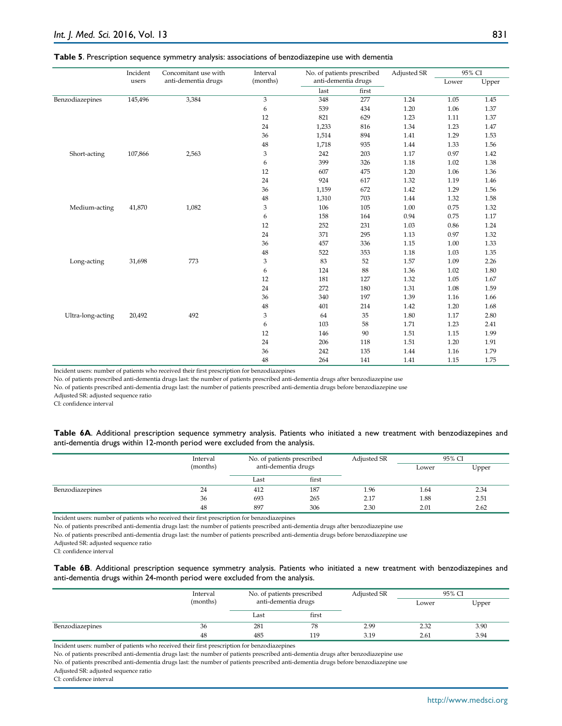#### **Table 5**. Prescription sequence symmetry analysis: associations of benzodiazepine use with dementia

|                   | Incident | Concomitant use with | Interval |                     | No. of patients prescribed |      |       | 95% CI |
|-------------------|----------|----------------------|----------|---------------------|----------------------------|------|-------|--------|
|                   | users    | anti-dementia drugs  | (months) | anti-dementia drugs |                            |      | Lower | Upper  |
|                   |          |                      |          | last                | first                      |      |       |        |
| Benzodiazepines   | 145,496  | 3,384                | 3        | 348                 | 277                        | 1.24 | 1.05  | 1.45   |
|                   |          |                      | 6        | 539                 | 434                        | 1.20 | 1.06  | 1.37   |
|                   |          |                      | 12       | 821                 | 629                        | 1.23 | 1.11  | 1.37   |
|                   |          |                      | 24       | 1,233               | 816                        | 1.34 | 1.23  | 1.47   |
|                   |          |                      | 36       | 1,514               | 894                        | 1.41 | 1.29  | 1.53   |
|                   |          |                      | $48\,$   | 1,718               | 935                        | 1.44 | 1.33  | 1.56   |
| Short-acting      | 107,866  | 2,563                | 3        | 242                 | 203                        | 1.17 | 0.97  | 1.42   |
|                   |          |                      | 6        | 399                 | 326                        | 1.18 | 1.02  | 1.38   |
|                   |          |                      | 12       | 607                 | 475                        | 1.20 | 1.06  | 1.36   |
|                   |          |                      | 24       | 924                 | 617                        | 1.32 | 1.19  | 1.46   |
|                   |          |                      | 36       | 1,159               | 672                        | 1.42 | 1.29  | 1.56   |
|                   |          |                      | $48\,$   | 1,310               | 703                        | 1.44 | 1.32  | 1.58   |
| Medium-acting     | 41,870   | 1,082                | 3        | 106                 | 105                        | 1.00 | 0.75  | 1.32   |
|                   |          |                      | 6        | 158                 | 164                        | 0.94 | 0.75  | 1.17   |
|                   |          |                      | 12       | 252                 | 231                        | 1.03 | 0.86  | 1.24   |
|                   |          |                      | 24       | 371                 | 295                        | 1.13 | 0.97  | 1.32   |
|                   |          |                      | 36       | 457                 | 336                        | 1.15 | 1.00  | 1.33   |
|                   |          |                      | $48\,$   | 522                 | 353                        | 1.18 | 1.03  | 1.35   |
| Long-acting       | 31,698   | 773                  | 3        | 83                  | 52                         | 1.57 | 1.09  | 2.26   |
|                   |          |                      | 6        | 124                 | 88                         | 1.36 | 1.02  | 1.80   |
|                   |          |                      | 12       | 181                 | 127                        | 1.32 | 1.05  | 1.67   |
|                   |          |                      | 24       | 272                 | 180                        | 1.31 | 1.08  | 1.59   |
|                   |          |                      | 36       | 340                 | 197                        | 1.39 | 1.16  | 1.66   |
|                   |          |                      | $48\,$   | 401                 | 214                        | 1.42 | 1.20  | 1.68   |
| Ultra-long-acting | 20,492   | 492                  | 3        | 64                  | 35                         | 1.80 | 1.17  | 2.80   |
|                   |          |                      | 6        | 103                 | 58                         | 1.71 | 1.23  | 2.41   |
|                   |          |                      | 12       | 146                 | 90                         | 1.51 | 1.15  | 1.99   |
|                   |          |                      | 24       | 206                 | 118                        | 1.51 | 1.20  | 1.91   |
|                   |          |                      | 36       | 242                 | 135                        | 1.44 | 1.16  | 1.79   |
|                   |          |                      | 48       | 264                 | 141                        | 1.41 | 1.15  | 1.75   |

Incident users: number of patients who received their first prescription for benzodiazepines

No. of patients prescribed anti-dementia drugs last: the number of patients prescribed anti-dementia drugs after benzodiazepine use

No. of patients prescribed anti-dementia drugs last: the number of patients prescribed anti-dementia drugs before benzodiazepine use

Adjusted SR: adjusted sequence ratio

CI: confidence interval

**Table 6A**. Additional prescription sequence symmetry analysis. Patients who initiated a new treatment with benzodiazepines and anti-dementia drugs within 12-month period were excluded from the analysis.

|                 | Interval | No. of patients prescribed<br>anti-dementia drugs |       | Adjusted SR | 95% CI |       |
|-----------------|----------|---------------------------------------------------|-------|-------------|--------|-------|
|                 | (months) |                                                   |       |             | Lower  | Upper |
|                 |          | Last                                              | first |             |        |       |
| Benzodiazepines | 24       | 412                                               | 187   | 1.96        | 1.64   | 2.34  |
|                 | 36       | 693                                               | 265   | 2.17        | 1.88   | 2.51  |
|                 | 48       | 897                                               | 306   | 2.30        | 2.01   | 2.62  |

Incident users: number of patients who received their first prescription for benzodiazepines

No. of patients prescribed anti-dementia drugs last: the number of patients prescribed anti-dementia drugs after benzodiazepine use

No. of patients prescribed anti-dementia drugs last: the number of patients prescribed anti-dementia drugs before benzodiazepine use

Adjusted SR: adjusted sequence ratio

CI: confidence interval

**Table 6B**. Additional prescription sequence symmetry analysis. Patients who initiated a new treatment with benzodiazepines and anti-dementia drugs within 24-month period were excluded from the analysis.

|                 | Interval | No. of patients prescribed |       | Adjusted SR | 95% CI |       |
|-----------------|----------|----------------------------|-------|-------------|--------|-------|
|                 | (months) | anti-dementia drugs        |       |             | Lower  | Upper |
|                 |          | Last                       | first |             |        |       |
| Benzodiazepines | 36       | 281                        | 78    | 2.99        | 2.32   | 3.90  |
|                 | 48       | 485                        | 119   | 3.19        | 2.61   | 3.94  |

Incident users: number of patients who received their first prescription for benzodiazepines

No. of patients prescribed anti-dementia drugs last: the number of patients prescribed anti-dementia drugs after benzodiazepine use

No. of patients prescribed anti-dementia drugs last: the number of patients prescribed anti-dementia drugs before benzodiazepine use

Adjusted SR: adjusted sequence ratio

CI: confidence interval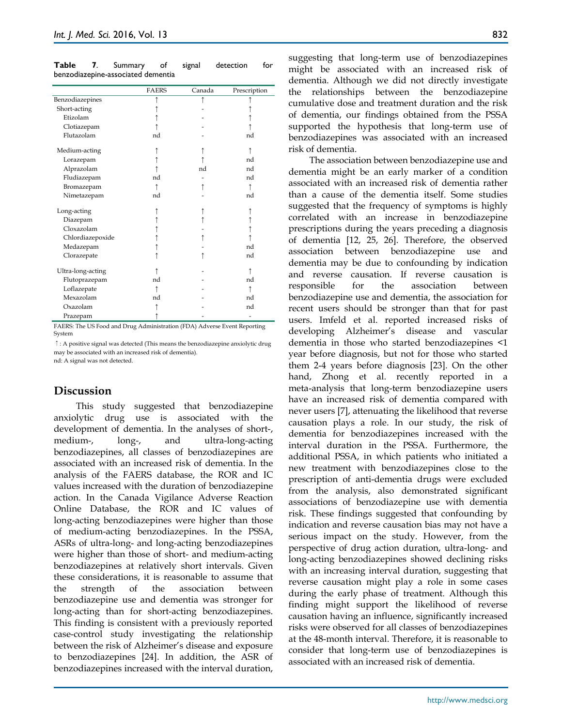|                   | <b>FAERS</b> | Canada | Prescription |
|-------------------|--------------|--------|--------------|
| Benzodiazepines   |              |        |              |
| Short-acting      |              |        |              |
| Etizolam          |              |        |              |
| Clotiazepam       |              |        |              |
| Flutazolam        | nd           |        | nd           |
| Medium-acting     |              |        |              |
| Lorazepam         |              |        | nd           |
| Alprazolam        |              | nd     | nd           |
| Fludiazepam       | nd           |        | nd           |
| Bromazepam        |              |        |              |
| Nimetazepam       | nd           |        | nd           |
| Long-acting       |              |        |              |
| Diazepam          |              |        |              |
| Cloxazolam        |              |        |              |
| Chlordiazepoxide  |              |        |              |
| Medazepam         |              |        | nd           |
| Clorazepate       |              |        | nd           |
| Ultra-long-acting |              |        |              |
| Flutoprazepam     | nd           |        | nd           |
| Loflazepate       |              |        |              |
| Mexazolam         | nd           |        | nd           |
| Oxazolam          |              |        | nd           |
| Prazepam          |              |        |              |

**Table 7**. Summary of signal detection for benzodiazepine-associated dementia

FAERS: The US Food and Drug Administration (FDA) Adverse Event Reporting System

↑: A positive signal was detected (This means the benzodiazepine anxiolytic drug may be associated with an increased risk of dementia).

nd: A signal was not detected.

## **Discussion**

This study suggested that benzodiazepine anxiolytic drug use is associated with the development of dementia. In the analyses of short-, medium-, long-, and ultra-long-acting benzodiazepines, all classes of benzodiazepines are associated with an increased risk of dementia. In the analysis of the FAERS database, the ROR and IC values increased with the duration of benzodiazepine action. In the Canada Vigilance Adverse Reaction Online Database, the ROR and IC values of long-acting benzodiazepines were higher than those of medium-acting benzodiazepines. In the PSSA, ASRs of ultra-long- and long-acting benzodiazepines were higher than those of short- and medium-acting benzodiazepines at relatively short intervals. Given these considerations, it is reasonable to assume that the strength of the association between benzodiazepine use and dementia was stronger for long-acting than for short-acting benzodiazepines. This finding is consistent with a previously reported case-control study investigating the relationship between the risk of Alzheimer's disease and exposure to benzodiazepines [24]. In addition, the ASR of benzodiazepines increased with the interval duration,

suggesting that long-term use of benzodiazepines might be associated with an increased risk of dementia. Although we did not directly investigate the relationships between the benzodiazepine cumulative dose and treatment duration and the risk of dementia, our findings obtained from the PSSA supported the hypothesis that long-term use of benzodiazepines was associated with an increased risk of dementia.

The association between benzodiazepine use and dementia might be an early marker of a condition associated with an increased risk of dementia rather than a cause of the dementia itself. Some studies suggested that the frequency of symptoms is highly correlated with an increase in benzodiazepine prescriptions during the years preceding a diagnosis of dementia [12, 25, 26]. Therefore, the observed association between benzodiazepine use and dementia may be due to confounding by indication and reverse causation. If reverse causation is responsible for the association between benzodiazepine use and dementia, the association for recent users should be stronger than that for past users. Imfeld et al. reported increased risks of developing Alzheimer's disease and vascular dementia in those who started benzodiazepines <1 year before diagnosis, but not for those who started them 2-4 years before diagnosis [23]. On the other hand, Zhong et al. recently reported in a meta-analysis that long-term benzodiazepine users have an increased risk of dementia compared with never users [7], attenuating the likelihood that reverse causation plays a role. In our study, the risk of dementia for benzodiazepines increased with the interval duration in the PSSA. Furthermore, the additional PSSA, in which patients who initiated a new treatment with benzodiazepines close to the prescription of anti-dementia drugs were excluded from the analysis, also demonstrated significant associations of benzodiazepine use with dementia risk. These findings suggested that confounding by indication and reverse causation bias may not have a serious impact on the study. However, from the perspective of drug action duration, ultra-long- and long-acting benzodiazepines showed declining risks with an increasing interval duration, suggesting that reverse causation might play a role in some cases during the early phase of treatment. Although this finding might support the likelihood of reverse causation having an influence, significantly increased risks were observed for all classes of benzodiazepines at the 48-month interval. Therefore, it is reasonable to consider that long-term use of benzodiazepines is associated with an increased risk of dementia.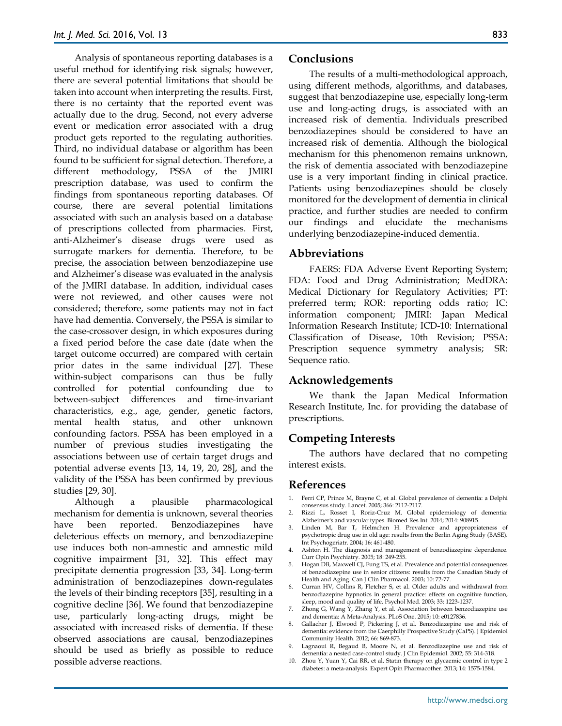Analysis of spontaneous reporting databases is a useful method for identifying risk signals; however, there are several potential limitations that should be taken into account when interpreting the results. First, there is no certainty that the reported event was actually due to the drug. Second, not every adverse event or medication error associated with a drug product gets reported to the regulating authorities. Third, no individual database or algorithm has been found to be sufficient for signal detection. Therefore, a different methodology, PSSA of the JMIRI prescription database, was used to confirm the findings from spontaneous reporting databases. Of course, there are several potential limitations associated with such an analysis based on a database of prescriptions collected from pharmacies. First, anti-Alzheimer's disease drugs were used as surrogate markers for dementia. Therefore, to be precise, the association between benzodiazepine use and Alzheimer's disease was evaluated in the analysis of the JMIRI database. In addition, individual cases were not reviewed, and other causes were not considered; therefore, some patients may not in fact have had dementia. Conversely, the PSSA is similar to the case-crossover design, in which exposures during a fixed period before the case date (date when the target outcome occurred) are compared with certain prior dates in the same individual [27]. These within-subject comparisons can thus be fully controlled for potential confounding due to between-subject differences and time-invariant characteristics, e.g., age, gender, genetic factors, mental health status, and other unknown confounding factors. PSSA has been employed in a number of previous studies investigating the associations between use of certain target drugs and potential adverse events [13, 14, 19, 20, 28], and the validity of the PSSA has been confirmed by previous studies [29, 30].

Although a plausible pharmacological mechanism for dementia is unknown, several theories have been reported. Benzodiazepines have deleterious effects on memory, and benzodiazepine use induces both non-amnestic and amnestic mild cognitive impairment [31, 32]. This effect may precipitate dementia progression [33, 34]. Long-term administration of benzodiazepines down-regulates the levels of their binding receptors [35], resulting in a cognitive decline [36]. We found that benzodiazepine use, particularly long-acting drugs, might be associated with increased risks of dementia. If these observed associations are causal, benzodiazepines should be used as briefly as possible to reduce possible adverse reactions.

#### **Conclusions**

The results of a multi-methodological approach, using different methods, algorithms, and databases, suggest that benzodiazepine use, especially long-term use and long-acting drugs, is associated with an increased risk of dementia. Individuals prescribed benzodiazepines should be considered to have an increased risk of dementia. Although the biological mechanism for this phenomenon remains unknown, the risk of dementia associated with benzodiazepine use is a very important finding in clinical practice. Patients using benzodiazepines should be closely monitored for the development of dementia in clinical practice, and further studies are needed to confirm our findings and elucidate the mechanisms underlying benzodiazepine-induced dementia.

#### **Abbreviations**

FAERS: FDA Adverse Event Reporting System; FDA: Food and Drug Administration; MedDRA: Medical Dictionary for Regulatory Activities; PT: preferred term; ROR: reporting odds ratio; IC: information component; JMIRI: Japan Medical Information Research Institute; ICD-10: International Classification of Disease, 10th Revision; PSSA: Prescription sequence symmetry analysis; SR: Sequence ratio.

#### **Acknowledgements**

We thank the Japan Medical Information Research Institute, Inc. for providing the database of prescriptions.

#### **Competing Interests**

The authors have declared that no competing interest exists.

#### **References**

- 1. Ferri CP, Prince M, Brayne C, et al. Global prevalence of dementia: a Delphi consensus study. Lancet. 2005; 366: 2112-2117.
- 2. Rizzi L, Rosset I, Roriz-Cruz M. Global epidemiology of dementia: Alzheimer's and vascular types. Biomed Res Int. 2014; 2014: 908915.
- 3. Linden M, Bar T, Helmchen H. Prevalence and appropriateness of psychotropic drug use in old age: results from the Berlin Aging Study (BASE). Int Psychogeriatr. 2004; 16: 461-480.
- 4. Ashton H. The diagnosis and management of benzodiazepine dependence. Curr Opin Psychiatry. 2005; 18: 249-255.
- 5. Hogan DB, Maxwell CJ, Fung TS, et al. Prevalence and potential consequences of benzodiazepine use in senior citizens: results from the Canadian Study of Health and Aging. Can J Clin Pharmacol. 2003; 10: 72-77.
- 6. Curran HV, Collins R, Fletcher S, et al. Older adults and withdrawal from benzodiazepine hypnotics in general practice: effects on cognitive function, sleep, mood and quality of life. Psychol Med. 2003; 33: 1223-1237.
- 7. Zhong G, Wang Y, Zhang Y, et al. Association between benzodiazepine use and dementia: A Meta-Analysis. PLoS One. 2015; 10: e0127836.
- 8. Gallacher J, Elwood P, Pickering J, et al. Benzodiazepine use and risk of dementia: evidence from the Caerphilly Prospective Study (CaPS). J Epidemiol Community Health. 2012; 66: 869-873.
- 9. Lagnaoui R, Begaud B, Moore N, et al. Benzodiazepine use and risk of dementia: a nested case-control study. J Clin Epidemiol. 2002; 55: 314-318.
- 10. Zhou Y, Yuan Y, Cai RR, et al. Statin therapy on glycaemic control in type 2 diabetes: a meta-analysis. Expert Opin Pharmacother. 2013; 14: 1575-1584.